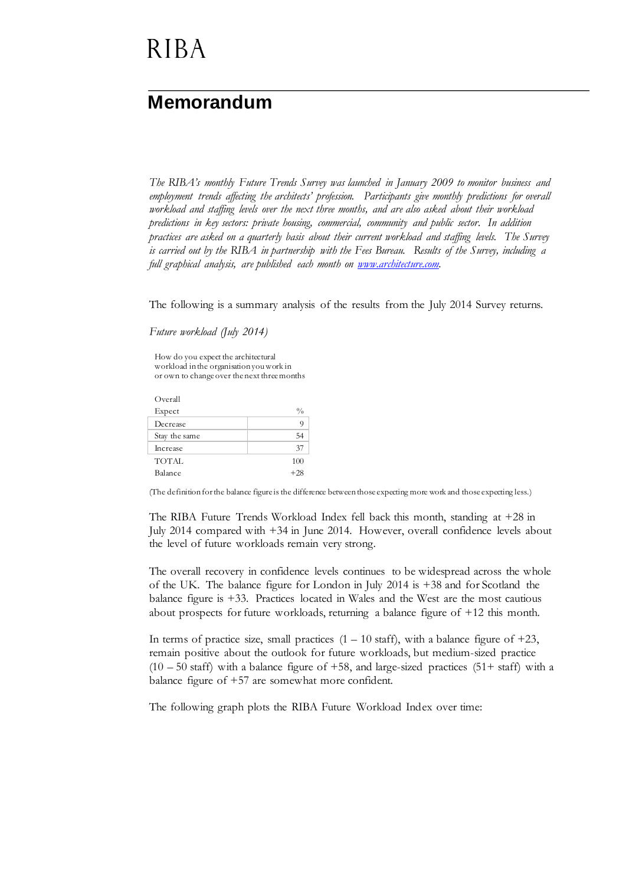# **RIBA**

### **Memorandum**

*The RIBA's monthly Future Trends Survey was launched in January 2009 to monitor business and employment trends affecting the architects' profession. Participants give monthly predictions for overall workload and staffing levels over the next three months, and are also asked about their workload predictions in key sectors: private housing, commercial, community and public sector. In addition practices are asked on a quarterly basis about their current workload and staffing levels. The Survey is carried out by the RIBA in partnership with the Fees Bureau. Results of the Survey, including a full graphical analysis, are published each month on [www.architecture.com.](http://www.architecture.com/)*

The following is a summary analysis of the results from the July 2014 Survey returns.

*Future workload (July 2014)*

How do you expect the architectural workload in the organisation you work in or own to change over the next three months

| Overall       |               |
|---------------|---------------|
| Expect        | $\frac{0}{0}$ |
| Decrease      | 9             |
| Stay the same | 54            |
| Increase      | 37            |
| <b>TOTAL</b>  | 100           |
| Balance       | $+28$         |

(The definition for the balance figure is the difference between those expecting more work and those expecting less.)

The RIBA Future Trends Workload Index fell back this month, standing at +28 in July 2014 compared with +34 in June 2014. However, overall confidence levels about the level of future workloads remain very strong.

The overall recovery in confidence levels continues to be widespread across the whole of the UK. The balance figure for London in July 2014 is +38 and for Scotland the balance figure is +33. Practices located in Wales and the West are the most cautious about prospects for future workloads, returning a balance figure of +12 this month.

In terms of practice size, small practices  $(1 - 10 \text{ staff})$ , with a balance figure of  $+23$ , remain positive about the outlook for future workloads, but medium-sized practice  $(10 - 50 \text{ staff})$  with a balance figure of +58, and large-sized practices  $(51 + \text{ staff})$  with a balance figure of +57 are somewhat more confident.

The following graph plots the RIBA Future Workload Index over time: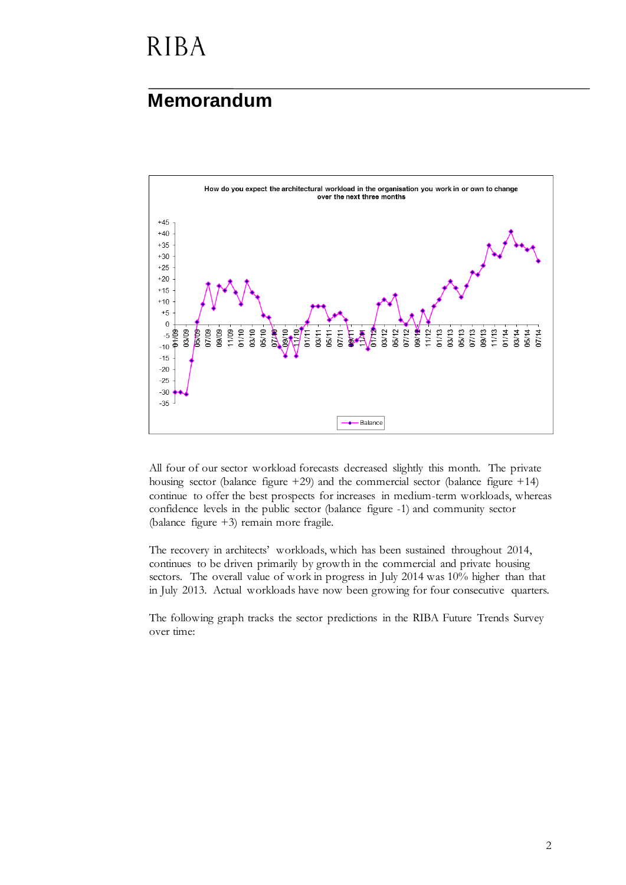# **RIBA**

#### **Memorandum**



All four of our sector workload forecasts decreased slightly this month. The private housing sector (balance figure +29) and the commercial sector (balance figure +14) continue to offer the best prospects for increases in medium-term workloads, whereas confidence levels in the public sector (balance figure -1) and community sector (balance figure +3) remain more fragile.

The recovery in architects' workloads, which has been sustained throughout 2014, continues to be driven primarily by growth in the commercial and private housing sectors. The overall value of work in progress in July 2014 was 10% higher than that in July 2013. Actual workloads have now been growing for four consecutive quarters.

The following graph tracks the sector predictions in the RIBA Future Trends Survey over time: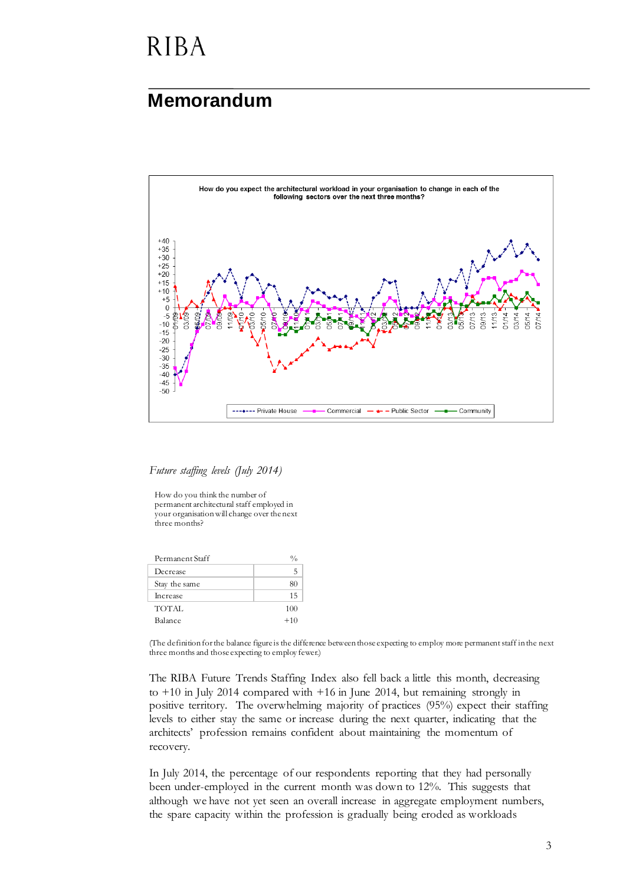## **RIBA**

#### **Memorandum**



*Future staffing levels (July 2014)*

How do you think the number of permanent architectural staff employed in your organisation will change over the next three months?

| Permanent Staff |       |
|-----------------|-------|
| Decrease        |       |
| Stay the same   | 80    |
| Increase        | 15    |
| TOTAL           | 100   |
| Balance         | $+10$ |

(The definition for the balance figure is the difference between those expecting to employ more permanent staff in the next three months and those expecting to employ fewer.)

The RIBA Future Trends Staffing Index also fell back a little this month, decreasing to +10 in July 2014 compared with +16 in June 2014, but remaining strongly in positive territory. The overwhelming majority of practices (95%) expect their staffing levels to either stay the same or increase during the next quarter, indicating that the architects' profession remains confident about maintaining the momentum of recovery.

In July 2014, the percentage of our respondents reporting that they had personally been under-employed in the current month was down to 12%. This suggests that although we have not yet seen an overall increase in aggregate employment numbers, the spare capacity within the profession is gradually being eroded as workloads